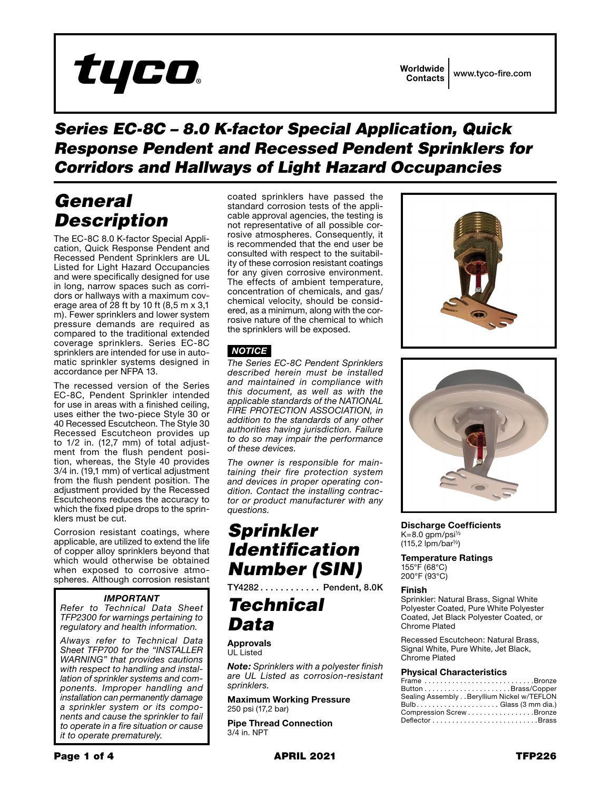

### *Series EC-8C – 8.0 K-factor Special Application, Quick Response Pendent and Recessed Pendent Sprinklers for Corridors and Hallways of Light Hazard Occupancies*

## *General Description*

The EC-8C 8.0 K-factor Special Application, Quick Response Pendent and Recessed Pendent Sprinklers are UL Listed for Light Hazard Occupancies and were specifically designed for use in long, narrow spaces such as corridors or hallways with a maximum coverage area of 28 ft by 10 ft (8,5 m x 3,1 m). Fewer sprinklers and lower system pressure demands are required as compared to the traditional extended coverage sprinklers. Series EC-8C sprinklers are intended for use in automatic sprinkler systems designed in accordance per NFPA 13.

The recessed version of the Series EC-8C, Pendent Sprinkler intended for use in areas with a finished ceiling, uses either the two-piece Style 30 or 40 Recessed Escutcheon. The Style 30 Recessed Escutcheon provides up to 1/2 in. (12,7 mm) of total adjustment from the flush pendent position, whereas, the Style 40 provides 3/4 in. (19,1 mm) of vertical adjustment from the flush pendent position. The adjustment provided by the Recessed Escutcheons reduces the accuracy to which the fixed pipe drops to the sprinklers must be cut.

Corrosion resistant coatings, where applicable, are utilized to extend the life of copper alloy sprinklers beyond that which would otherwise be obtained when exposed to corrosive atmospheres. Although corrosion resistant

### *IMPORTANT*

*Refer to Technical Data Sheet TFP2300 for warnings pertaining to regulatory and health information.*

*Always refer to Technical Data Sheet TFP700 for the "INSTALLER WARNING" that provides cautions with respect to handling and installation of sprinkler systems and components. Improper handling and installation can permanently damage a sprinkler system or its components and cause the sprinkler to fail to operate in a fire situation or cause it to operate prematurely.*

coated sprinklers have passed the standard corrosion tests of the applicable approval agencies, the testing is not representative of all possible corrosive atmospheres. Consequently, it is recommended that the end user be consulted with respect to the suitability of these corrosion resistant coatings for any given corrosive environment. The effects of ambient temperature, concentration of chemicals, and gas/ chemical velocity, should be considered, as a minimum, along with the corrosive nature of the chemical to which the sprinklers will be exposed.

### *NOTICE*

*The Series EC-8C Pendent Sprinklers described herein must be installed and maintained in compliance with this document, as well as with the applicable standards of the NATIONAL FIRE PROTECTION ASSOCIATION, in addition to the standards of any other authorities having jurisdiction. Failure to do so may impair the performance of these devices.*

*The owner is responsible for maintaining their fire protection system and devices in proper operating condition. Contact the installing contractor or product manufacturer with any questions.*

## *Sprinkler Identification Number (SIN)*

TY4282 . . . . . . . . . . . . Pendent, 8.0K

## *Technical Data*

**Approvals** UL Listed

*Note: Sprinklers with a polyester finish are UL Listed as corrosion-resistant sprinklers.*

Maximum Working Pressure 250 psi (17,2 bar)

Pipe Thread Connection 3/4 in. NPT





Discharge Coefficients K=8.0 gpm/psi½ (115,2 lpm/bar½)

Temperature Ratings 155°F (68°C) 200°F (93°C)

### Finish

Sprinkler: Natural Brass, Signal White Polyester Coated, Pure White Polyester Coated, Jet Black Polyester Coated, or Chrome Plated

Recessed Escutcheon: Natural Brass, Signal White, Pure White, Jet Black, Chrome Plated

### Physical Characteristics

| Frame Bronze                               |
|--------------------------------------------|
|                                            |
| Sealing Assembly Beryllium Nickel w/TEFLON |
|                                            |
| Compression Screw Bronze                   |
|                                            |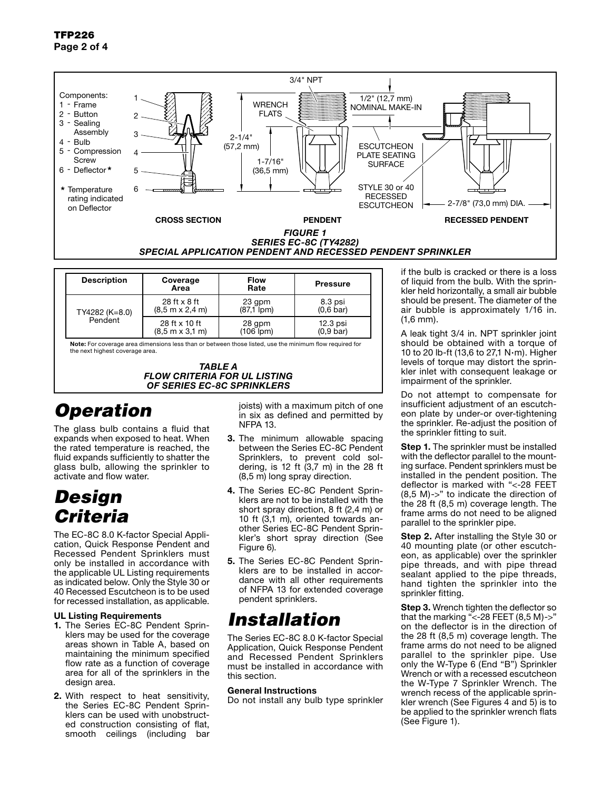

| <b>Description</b>        | Coverage<br>Area                                | <b>Flow</b><br>Rate    | <b>Pressure</b>                     |
|---------------------------|-------------------------------------------------|------------------------|-------------------------------------|
| TY4282 (K=8.0)<br>Pendent | $28$ ft $\times$ 8 ft<br>$(8.5 m \times 2.4 m)$ | 23 gpm<br>$(87.1$ (pm) | 8.3 psi<br>$(0.6 \text{ bar})$      |
|                           | 28 ft x 10 ft<br>$(8.5 m \times 3.1 m)$         | 28 gpm<br>$(106$ (pm)  | $12.3$ psi<br>(0.9 <sub>bar</sub> ) |

Note: For coverage area dimensions less than or between those listed, use the minimum flow required for the next highest coverage area.

*TABLE A FLOW CRITERIA FOR UL LISTING OF SERIES EC-8C SPRINKLERS*

# *Operation*

The glass bulb contains a fluid that expands when exposed to heat. When the rated temperature is reached, the fluid expands sufficiently to shatter the glass bulb, allowing the sprinkler to activate and flow water.

## *Design Criteria*

The EC-8C 8.0 K-factor Special Application, Quick Response Pendent and Recessed Pendent Sprinklers must only be installed in accordance with the applicable UL Listing requirements as indicated below. Only the Style 30 or 40 Recessed Escutcheon is to be used for recessed installation, as applicable.

### UL Listing Requirements

- 1. The Series EC-8C Pendent Sprinklers may be used for the coverage areas shown in Table A, based on maintaining the minimum specified flow rate as a function of coverage area for all of the sprinklers in the design area.
- 2. With respect to heat sensitivity, the Series EC-8C Pendent Sprinklers can be used with unobstructed construction consisting of flat, smooth ceilings (including bar

joists) with a maximum pitch of one in six as defined and permitted by NFPA 13.

- 3. The minimum allowable spacing between the Series EC-8C Pendent Sprinklers, to prevent cold soldering, is 12 ft (3,7 m) in the 28 ft (8,5 m) long spray direction.
- 4. The Series EC-8C Pendent Sprinklers are not to be installed with the short spray direction, 8 ft (2,4 m) or 10 ft (3,1 m), oriented towards another Series EC-8C Pendent Sprinkler's short spray direction (See Figure 6).
- 5. The Series EC-8C Pendent Sprinklers are to be installed in accordance with all other requirements of NFPA 13 for extended coverage pendent sprinklers.

## *Installation*

The Series EC-8C 8.0 K-factor Special Application, Quick Response Pendent and Recessed Pendent Sprinklers must be installed in accordance with this section.

### General Instructions

Do not install any bulb type sprinkler

of liquid from the bulb. With the sprinkler held horizontally, a small air bubble should be present. The diameter of the air bubble is approximately 1/16 in. (1,6 mm).

A leak tight 3/4 in. NPT sprinkler joint should be obtained with a torque of 10 to 20 lb-ft (13,6 to 27,1 N·m). Higher levels of torque may distort the sprinkler inlet with consequent leakage or impairment of the sprinkler.

Do not attempt to compensate for insufficient adjustment of an escutcheon plate by under-or over-tightening the sprinkler. Re-adjust the position of the sprinkler fitting to suit.

**Step 1.** The sprinkler must be installed with the deflector parallel to the mounting surface. Pendent sprinklers must be installed in the pendent position. The deflector is marked with "<-28 FEET (8,5 M)->" to indicate the direction of the 28 ft (8,5 m) coverage length. The frame arms do not need to be aligned parallel to the sprinkler pipe.

**Step 2.** After installing the Style 30 or 40 mounting plate (or other escutcheon, as applicable) over the sprinkler pipe threads, and with pipe thread sealant applied to the pipe threads, hand tighten the sprinkler into the sprinkler fitting.

**Step 3.** Wrench tighten the deflector so that the marking "<-28 FEET (8,5 M)->" on the deflector is in the direction of the 28 ft (8,5 m) coverage length. The frame arms do not need to be aligned parallel to the sprinkler pipe. Use only the W-Type 6 (End "B") Sprinkler Wrench or with a recessed escutcheon the W-Type 7 Sprinkler Wrench. The wrench recess of the applicable sprinkler wrench (See Figures 4 and 5) is to be applied to the sprinkler wrench flats (See Figure 1).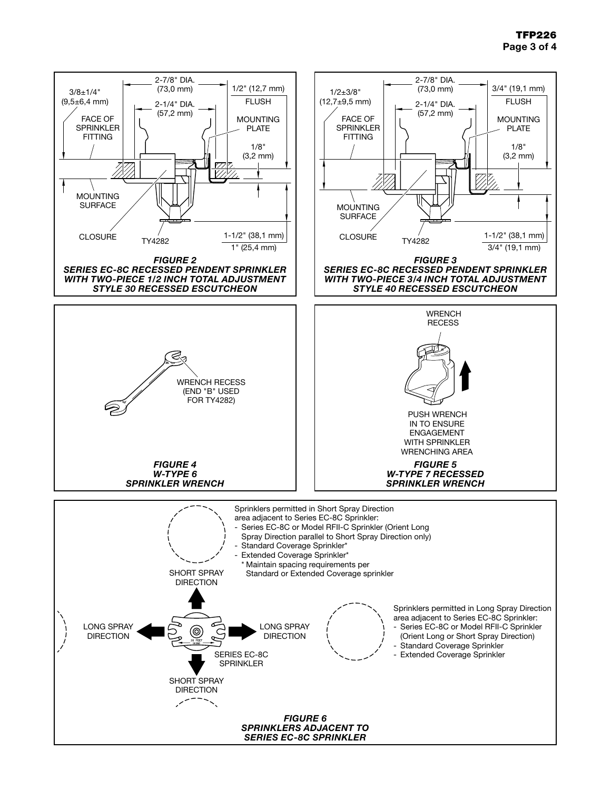